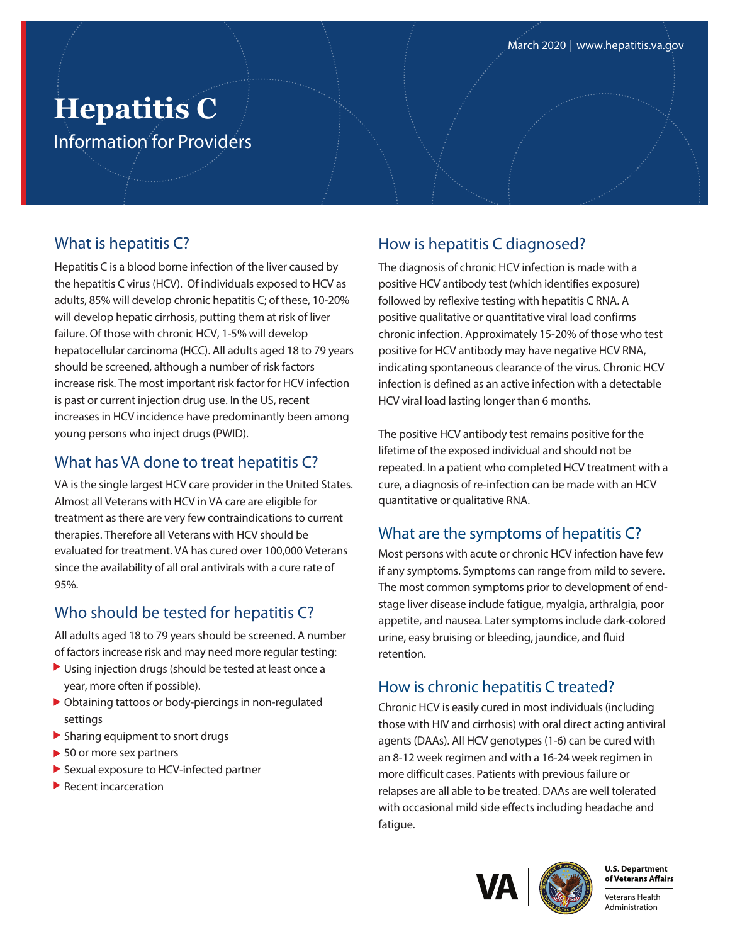# **Hepatitis C**  Information for Providers

#### What is hepatitis C?

Hepatitis C is a blood borne infection of the liver caused by the hepatitis C virus (HCV). Of individuals exposed to HCV as adults, 85% will develop chronic hepatitis C; of these, 10-20% will develop hepatic cirrhosis, putting them at risk of liver failure. Of those with chronic HCV, 1-5% will develop hepatocellular carcinoma (HCC). All adults aged 18 to 79 years should be screened, although a number of risk factors increase risk. The most important risk factor for HCV infection is past or current injection drug use. In the US, recent increases in HCV incidence have predominantly been among young persons who inject drugs(PWID).

#### What has VA done to treat hepatitis C?

VA is the single largest HCV care provider in the United States. Almost all Veterans with HCV in VA care are eligible for treatment as there are very few contraindications to current therapies. Therefore all Veterans with HCV should be evaluated for treatment. VA has cured over 100,000 Veterans since the availability of all oral antivirals with a cure rate of 95%.

## Who should be tested for hepatitis C?

All adults aged 18 to 79 years should be screened. A number of factors increase risk and may need more regular testing:

- Using injection drugs (should be tested at least once a year, more often if possible).
- Obtaining tattoos or body-piercings in non-regulated settings
- ▶ Sharing equipment to snort drugs
- ▶ 50 or more sex partners
- Sexual exposure to HCV-infected partner
- Recent incarceration

## How is hepatitis C diagnosed?

The diagnosis of chronic HCV infection is made with a positive HCV antibody test (which identifies exposure) followed by reflexive testing with hepatitis C RNA. A positive qualitative or quantitative viral load confirms chronic infection. Approximately 15-20% of those who test positive for HCV antibody may have negative HCV RNA, indicating spontaneous clearance of the virus. Chronic HCV infection is defined as an active infection with a detectable HCV viral load lasting longer than 6 months.

The positive HCV antibody test remains positive for the lifetime of the exposed individual and should not be repeated. In a patient who completed HCV treatment with a cure, a diagnosis of re-infection can be made with an HCV quantitative or qualitative RNA.

## What are the symptoms of hepatitis C?

Most persons with acute or chronic HCV infection have few if any symptoms. Symptoms can range from mild to severe. The most common symptoms prior to development of endstage liver disease include fatigue, myalgia, arthralgia, poor appetite, and nausea. Later symptoms include dark-colored urine, easy bruising or bleeding, jaundice, and fluid retention.

## How is chronic hepatitis C treated?

Chronic HCV is easily cured in most individuals (including those with HIV and cirrhosis) with oral direct acting antiviral agents (DAAs). All HCV genotypes (1-6) can be cured with an 8-12 week regimen and with a 16-24 week regimen in more difficult cases. Patients with previous failure or relapses are all able to be treated. DAAs are well tolerated with occasional mild side effects including headache and fatigue.





**U.S. Department** 

Veterans Health Administration